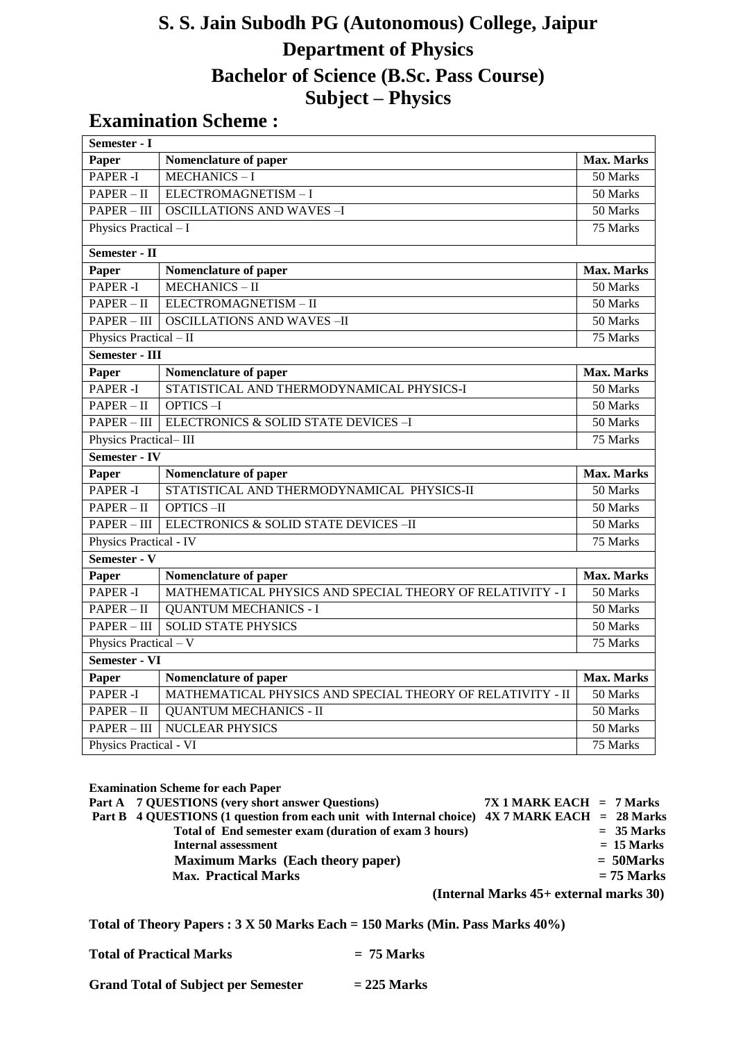# **S. S. Jain Subodh PG (Autonomous) College, Jaipur Department of Physics Bachelor of Science (B.Sc. Pass Course) Subject – Physics**

# **Examination Scheme :**

| Semester - I           |                                                            |                   |
|------------------------|------------------------------------------------------------|-------------------|
| Paper                  | Nomenclature of paper                                      | <b>Max. Marks</b> |
| <b>PAPER -I</b>        | <b>MECHANICS-I</b>                                         | 50 Marks          |
| $PAPER - II$           | ELECTROMAGNETISM-I                                         | 50 Marks          |
| $PAPER - III$          | <b>OSCILLATIONS AND WAVES-I</b>                            | 50 Marks          |
| Physics Practical - I  |                                                            | 75 Marks          |
| Semester - II          |                                                            |                   |
| Paper                  | Nomenclature of paper                                      | <b>Max. Marks</b> |
| <b>PAPER -I</b>        | <b>MECHANICS-II</b>                                        | 50 Marks          |
| $PAPER - II$           | ELECTROMAGNETISM-II                                        | 50 Marks          |
| $PAPER - III$          | <b>OSCILLATIONS AND WAVES-II</b>                           | 50 Marks          |
| Physics Practical - II |                                                            | 75 Marks          |
| Semester - III         |                                                            |                   |
| Paper                  | Nomenclature of paper                                      | <b>Max. Marks</b> |
| PAPER -I               | STATISTICAL AND THERMODYNAMICAL PHYSICS-I                  | 50 Marks          |
| $PAPER - II$           | $OPTICS - I$                                               | 50 Marks          |
| $PAPER - III$          | ELECTRONICS & SOLID STATE DEVICES -I                       | 50 Marks          |
| Physics Practical-III  |                                                            | 75 Marks          |
| Semester - IV          |                                                            |                   |
| Paper                  | Nomenclature of paper                                      | Max. Marks        |
| PAPER <sub>-I</sub>    | STATISTICAL AND THERMODYNAMICAL PHYSICS-II                 | 50 Marks          |
| $PAPER - II$           | <b>OPTICS-II</b>                                           | 50 Marks          |
| $PAPER - III$          | ELECTRONICS & SOLID STATE DEVICES -II                      | 50 Marks          |
| Physics Practical - IV |                                                            | 75 Marks          |
| Semester - V           |                                                            |                   |
| Paper                  | Nomenclature of paper                                      | Max. Marks        |
| <b>PAPER -I</b>        | MATHEMATICAL PHYSICS AND SPECIAL THEORY OF RELATIVITY - I  | 50 Marks          |
| $PAPER - II$           | <b>QUANTUM MECHANICS - I</b>                               | 50 Marks          |
| PAPER - III            | <b>SOLID STATE PHYSICS</b>                                 | 50 Marks          |
| Physics Practical - V  |                                                            | 75 Marks          |
| Semester - VI          |                                                            |                   |
| Paper                  | Nomenclature of paper                                      | Max. Marks        |
| <b>PAPER -I</b>        | MATHEMATICAL PHYSICS AND SPECIAL THEORY OF RELATIVITY - II | 50 Marks          |
| $PAPER - II$           | <b>QUANTUM MECHANICS - II</b>                              | 50 Marks          |
| $PAPER - III$          | <b>NUCLEAR PHYSICS</b>                                     | 50 Marks          |
| Physics Practical - VI |                                                            | 75 Marks          |

| <b>Examination Scheme for each Paper</b>                                                      |                                             |              |
|-----------------------------------------------------------------------------------------------|---------------------------------------------|--------------|
| Part A 7 QUESTIONS (very short answer Questions)                                              | $7X1$ MARK EACH = 7 Marks                   |              |
| Part B 4 QUESTIONS (1 question from each unit with Internal choice) 4X 7 MARK EACH = 28 Marks |                                             |              |
| Total of End semester exam (duration of exam 3 hours)                                         |                                             | $= 35$ Marks |
| <b>Internal assessment</b>                                                                    |                                             | $= 15$ Marks |
| <b>Maximum Marks (Each theory paper)</b>                                                      |                                             | $=$ 50Marks  |
| <b>Max. Practical Marks</b>                                                                   |                                             | $= 75$ Marks |
|                                                                                               | (Internal Marks $45+$ external marks $30$ ) |              |

**Total of Theory Papers : 3 X 50 Marks Each = 150 Marks (Min. Pass Marks 40%)**

| <b>Total of Practical Marks</b> | $= 75$ Marks |
|---------------------------------|--------------|
|---------------------------------|--------------|

| <b>Grand Total of Subject per Semester</b> | $= 225$ Marks |
|--------------------------------------------|---------------|
|--------------------------------------------|---------------|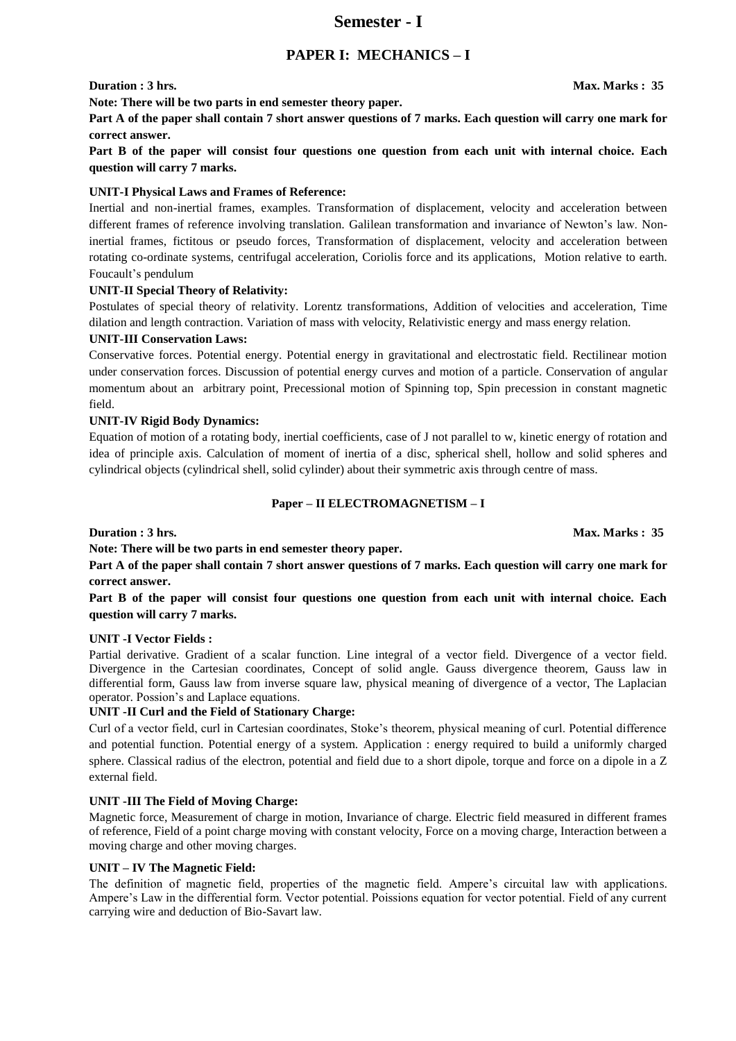### **Semester - I**

### **PAPER I: MECHANICS – I**

**Note: There will be two parts in end semester theory paper.** 

**Part A of the paper shall contain 7 short answer questions of 7 marks. Each question will carry one mark for correct answer.** 

**Part B of the paper will consist four questions one question from each unit with internal choice. Each question will carry 7 marks.**

#### **UNIT-I Physical Laws and Frames of Reference:**

Inertial and non-inertial frames, examples. Transformation of displacement, velocity and acceleration between different frames of reference involving translation. Galilean transformation and invariance of Newton's law. Noninertial frames, fictitous or pseudo forces, Transformation of displacement, velocity and acceleration between rotating co-ordinate systems, centrifugal acceleration, Coriolis force and its applications, Motion relative to earth. Foucault's pendulum

#### **UNIT-II Special Theory of Relativity:**

Postulates of special theory of relativity. Lorentz transformations, Addition of velocities and acceleration, Time dilation and length contraction. Variation of mass with velocity, Relativistic energy and mass energy relation.

#### **UNIT-III Conservation Laws:**

Conservative forces. Potential energy. Potential energy in gravitational and electrostatic field. Rectilinear motion under conservation forces. Discussion of potential energy curves and motion of a particle. Conservation of angular momentum about an arbitrary point, Precessional motion of Spinning top, Spin precession in constant magnetic field.

#### **UNIT-IV Rigid Body Dynamics:**

Equation of motion of a rotating body, inertial coefficients, case of J not parallel to w, kinetic energy of rotation and idea of principle axis. Calculation of moment of inertia of a disc, spherical shell, hollow and solid spheres and cylindrical objects (cylindrical shell, solid cylinder) about their symmetric axis through centre of mass.

#### **Paper – II ELECTROMAGNETISM – I**

**Duration : 3 hrs.** Max. Marks : 35

**Note: There will be two parts in end semester theory paper.** 

**Part A of the paper shall contain 7 short answer questions of 7 marks. Each question will carry one mark for correct answer.** 

**Part B of the paper will consist four questions one question from each unit with internal choice. Each question will carry 7 marks.** 

#### **UNIT -I Vector Fields :**

Partial derivative. Gradient of a scalar function. Line integral of a vector field. Divergence of a vector field. Divergence in the Cartesian coordinates, Concept of solid angle. Gauss divergence theorem, Gauss law in differential form, Gauss law from inverse square law, physical meaning of divergence of a vector, The Laplacian operator. Possion's and Laplace equations.

#### **UNIT -II Curl and the Field of Stationary Charge:**

Curl of a vector field, curl in Cartesian coordinates, Stoke's theorem, physical meaning of curl. Potential difference and potential function. Potential energy of a system. Application : energy required to build a uniformly charged sphere. Classical radius of the electron, potential and field due to a short dipole, torque and force on a dipole in a Z external field.

#### **UNIT -III The Field of Moving Charge:**

Magnetic force, Measurement of charge in motion, Invariance of charge. Electric field measured in different frames of reference, Field of a point charge moving with constant velocity, Force on a moving charge, Interaction between a moving charge and other moving charges.

#### **UNIT – IV The Magnetic Field:**

The definition of magnetic field, properties of the magnetic field. Ampere's circuital law with applications. Ampere's Law in the differential form. Vector potential. Poissions equation for vector potential. Field of any current carrying wire and deduction of Bio-Savart law.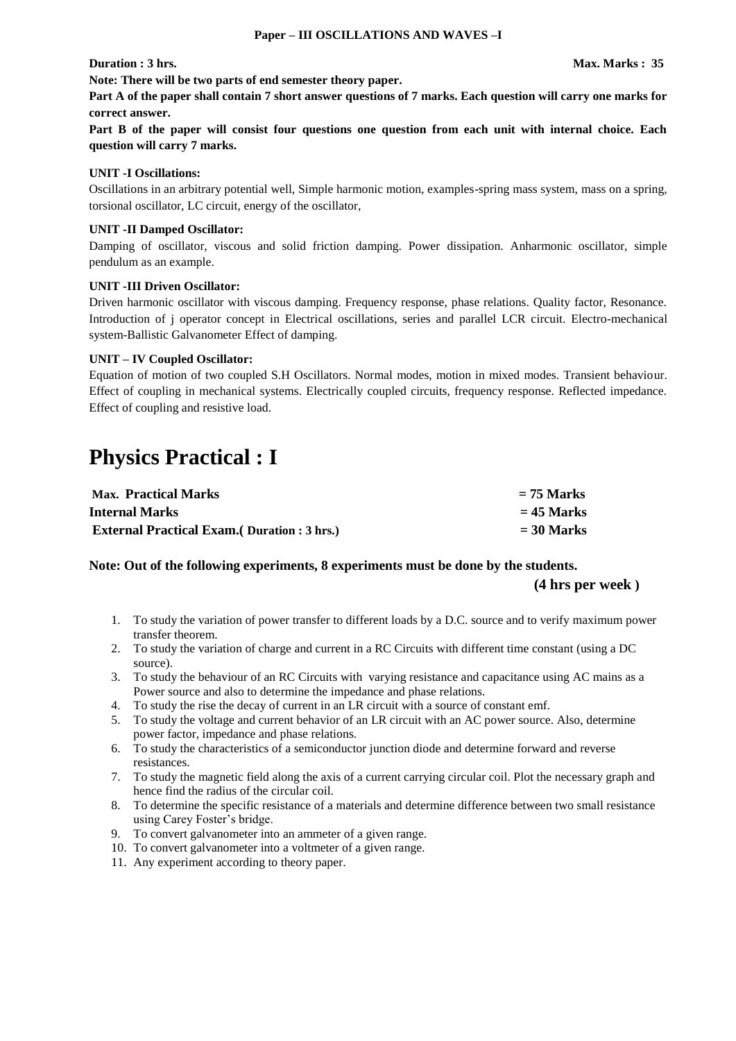**Part A of the paper shall contain 7 short answer questions of 7 marks. Each question will carry one marks for correct answer.** 

**Part B of the paper will consist four questions one question from each unit with internal choice. Each question will carry 7 marks.** 

#### **UNIT -I Oscillations:**

Oscillations in an arbitrary potential well, Simple harmonic motion, examples-spring mass system, mass on a spring, torsional oscillator, LC circuit, energy of the oscillator,

#### **UNIT -II Damped Oscillator:**

Damping of oscillator, viscous and solid friction damping. Power dissipation. Anharmonic oscillator, simple pendulum as an example.

#### **UNIT -III Driven Oscillator:**

Driven harmonic oscillator with viscous damping. Frequency response, phase relations. Quality factor, Resonance. Introduction of j operator concept in Electrical oscillations, series and parallel LCR circuit. Electro-mechanical system-Ballistic Galvanometer Effect of damping.

#### **UNIT – IV Coupled Oscillator:**

Equation of motion of two coupled S.H Oscillators. Normal modes, motion in mixed modes. Transient behaviour. Effect of coupling in mechanical systems. Electrically coupled circuits, frequency response. Reflected impedance. Effect of coupling and resistive load.

# **Physics Practical : I**

| <b>Max.</b> Practical Marks                         | $= 75$ Marks |
|-----------------------------------------------------|--------------|
| Internal Marks                                      | $= 45$ Marks |
| <b>External Practical Exam.</b> (Duration : 3 hrs.) | $=$ 30 Marks |

**Note: Out of the following experiments, 8 experiments must be done by the students.** 

**(4 hrs per week )**

- 1. To study the variation of power transfer to different loads by a D.C. source and to verify maximum power transfer theorem.
- 2. To study the variation of charge and current in a RC Circuits with different time constant (using a DC source).
- 3. To study the behaviour of an RC Circuits with varying resistance and capacitance using AC mains as a Power source and also to determine the impedance and phase relations.
- 4. To study the rise the decay of current in an LR circuit with a source of constant emf.
- 5. To study the voltage and current behavior of an LR circuit with an AC power source. Also, determine power factor, impedance and phase relations.
- 6. To study the characteristics of a semiconductor junction diode and determine forward and reverse resistances.
- 7. To study the magnetic field along the axis of a current carrying circular coil. Plot the necessary graph and hence find the radius of the circular coil.
- 8. To determine the specific resistance of a materials and determine difference between two small resistance using Carey Foster's bridge.
- 9. To convert galvanometer into an ammeter of a given range.
- 10. To convert galvanometer into a voltmeter of a given range.
- 11. Any experiment according to theory paper.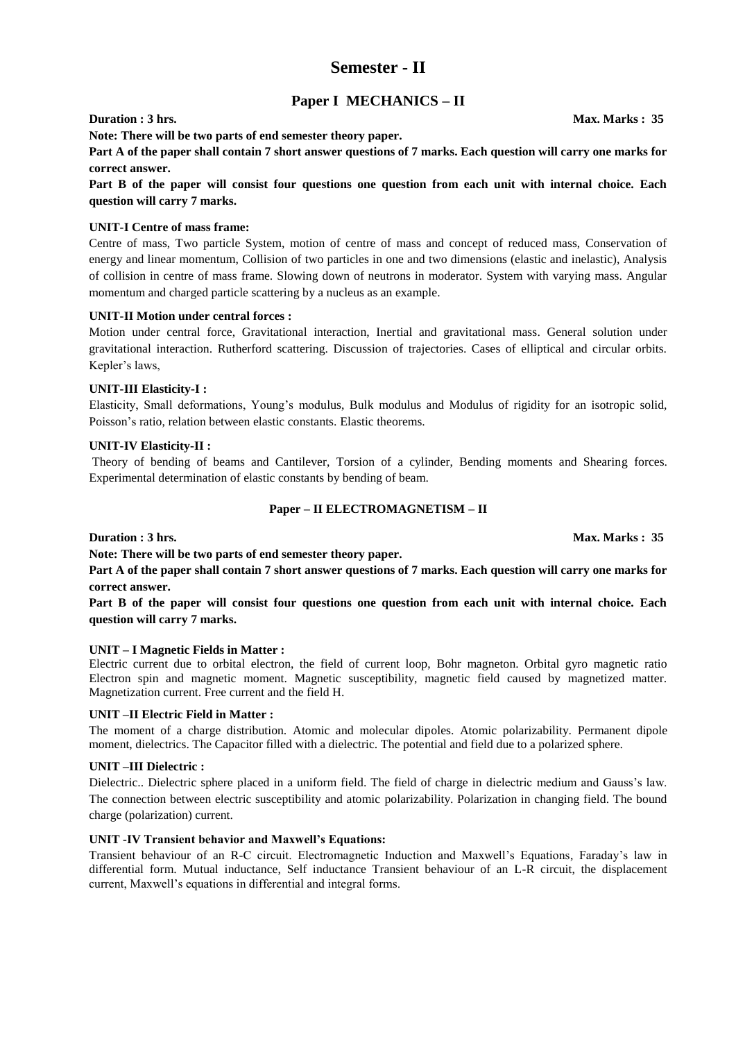### **Semester - II**

### **Paper I MECHANICS – II**

**Note: There will be two parts of end semester theory paper.** 

**Part A of the paper shall contain 7 short answer questions of 7 marks. Each question will carry one marks for correct answer.** 

**Part B of the paper will consist four questions one question from each unit with internal choice. Each question will carry 7 marks.** 

#### **UNIT-I Centre of mass frame:**

Centre of mass, Two particle System, motion of centre of mass and concept of reduced mass, Conservation of energy and linear momentum, Collision of two particles in one and two dimensions (elastic and inelastic), Analysis of collision in centre of mass frame. Slowing down of neutrons in moderator. System with varying mass. Angular momentum and charged particle scattering by a nucleus as an example.

#### **UNIT-II Motion under central forces :**

Motion under central force, Gravitational interaction, Inertial and gravitational mass. General solution under gravitational interaction. Rutherford scattering. Discussion of trajectories. Cases of elliptical and circular orbits. Kepler's laws,

#### **UNIT-III Elasticity-I :**

Elasticity, Small deformations, Young's modulus, Bulk modulus and Modulus of rigidity for an isotropic solid, Poisson's ratio, relation between elastic constants. Elastic theorems.

#### **UNIT-IV Elasticity-II :**

Theory of bending of beams and Cantilever, Torsion of a cylinder, Bending moments and Shearing forces. Experimental determination of elastic constants by bending of beam.

#### **Paper – II ELECTROMAGNETISM – II**

**Duration : 3 hrs.** Max. Marks : 35

**Note: There will be two parts of end semester theory paper.** 

**Part A of the paper shall contain 7 short answer questions of 7 marks. Each question will carry one marks for correct answer.** 

**Part B of the paper will consist four questions one question from each unit with internal choice. Each question will carry 7 marks.** 

#### **UNIT – I Magnetic Fields in Matter :**

Electric current due to orbital electron, the field of current loop, Bohr magneton. Orbital gyro magnetic ratio Electron spin and magnetic moment. Magnetic susceptibility, magnetic field caused by magnetized matter. Magnetization current. Free current and the field H.

#### **UNIT –II Electric Field in Matter :**

The moment of a charge distribution. Atomic and molecular dipoles. Atomic polarizability. Permanent dipole moment, dielectrics. The Capacitor filled with a dielectric. The potential and field due to a polarized sphere.

#### **UNIT –III Dielectric :**

Dielectric.. Dielectric sphere placed in a uniform field. The field of charge in dielectric medium and Gauss's law. The connection between electric susceptibility and atomic polarizability. Polarization in changing field. The bound charge (polarization) current.

#### **UNIT -IV Transient behavior and Maxwell's Equations:**

Transient behaviour of an R-C circuit. Electromagnetic Induction and Maxwell's Equations, Faraday's law in differential form. Mutual inductance, Self inductance Transient behaviour of an L-R circuit, the displacement current, Maxwell's equations in differential and integral forms.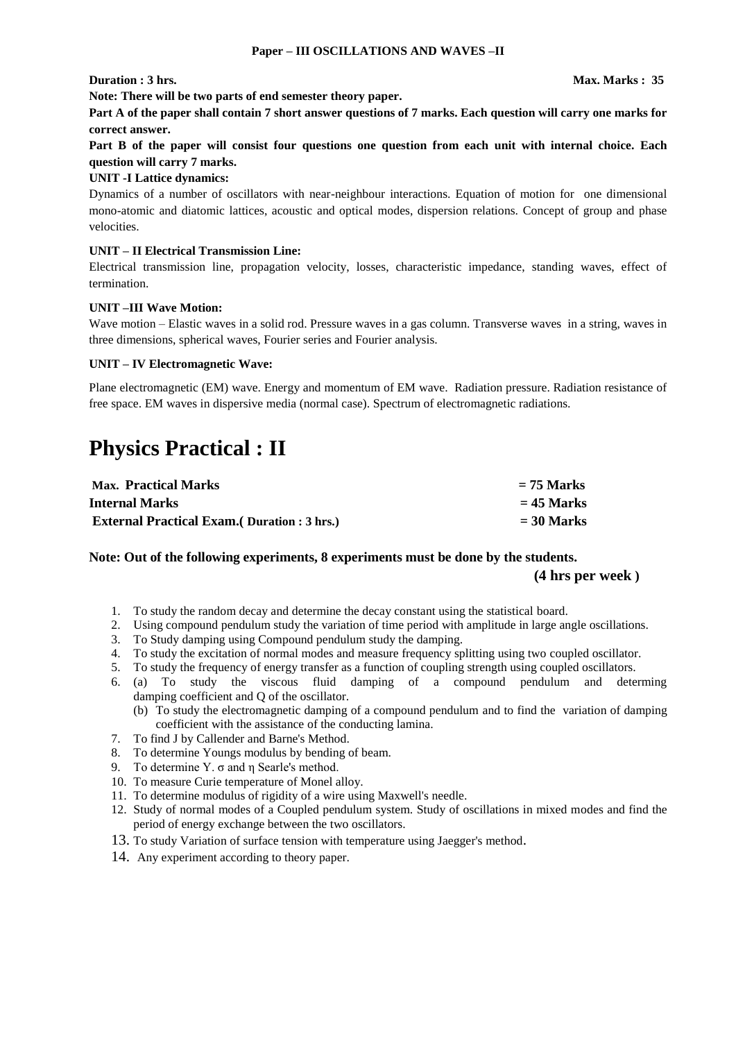**Note: There will be two parts of end semester theory paper.** 

**Part A of the paper shall contain 7 short answer questions of 7 marks. Each question will carry one marks for correct answer.** 

**Part B of the paper will consist four questions one question from each unit with internal choice. Each question will carry 7 marks.** 

#### **UNIT -I Lattice dynamics:**

Dynamics of a number of oscillators with near-neighbour interactions. Equation of motion for one dimensional mono-atomic and diatomic lattices, acoustic and optical modes, dispersion relations. Concept of group and phase velocities.

#### **UNIT – II Electrical Transmission Line:**

Electrical transmission line, propagation velocity, losses, characteristic impedance, standing waves, effect of termination.

#### **UNIT –III Wave Motion:**

Wave motion – Elastic waves in a solid rod. Pressure waves in a gas column. Transverse waves in a string, waves in three dimensions, spherical waves, Fourier series and Fourier analysis.

#### **UNIT – IV Electromagnetic Wave:**

Plane electromagnetic (EM) wave. Energy and momentum of EM wave. Radiation pressure. Radiation resistance of free space. EM waves in dispersive media (normal case). Spectrum of electromagnetic radiations.

# **Physics Practical : II**

| <b>Max.</b> Practical Marks                         | $= 75$ Marks |
|-----------------------------------------------------|--------------|
| Internal Marks                                      | $= 45$ Marks |
| <b>External Practical Exam.</b> (Duration : 3 hrs.) | $=$ 30 Marks |

#### **Note: Out of the following experiments, 8 experiments must be done by the students. (4 hrs per week )**

- 1. To study the random decay and determine the decay constant using the statistical board.
- 2. Using compound pendulum study the variation of time period with amplitude in large angle oscillations.
- 3. To Study damping using Compound pendulum study the damping.
- 4. To study the excitation of normal modes and measure frequency splitting using two coupled oscillator.
- 5. To study the frequency of energy transfer as a function of coupling strength using coupled oscillators.
- 6. (a) To study the viscous fluid damping of a compound pendulum and determing damping coefficient and Q of the oscillator.
	- (b) To study the electromagnetic damping of a compound pendulum and to find the variation of damping coefficient with the assistance of the conducting lamina.
- 7. To find J by Callender and Barne's Method.
- 8. To determine Youngs modulus by bending of beam.
- 9. To determine Y.  $\sigma$  and  $\eta$  Searle's method.
- 10. To measure Curie temperature of Monel alloy.
- 11. To determine modulus of rigidity of a wire using Maxwell's needle.
- 12. Study of normal modes of a Coupled pendulum system. Study of oscillations in mixed modes and find the period of energy exchange between the two oscillators.
- 13. To study Variation of surface tension with temperature using Jaegger's method.
- 14. Any experiment according to theory paper.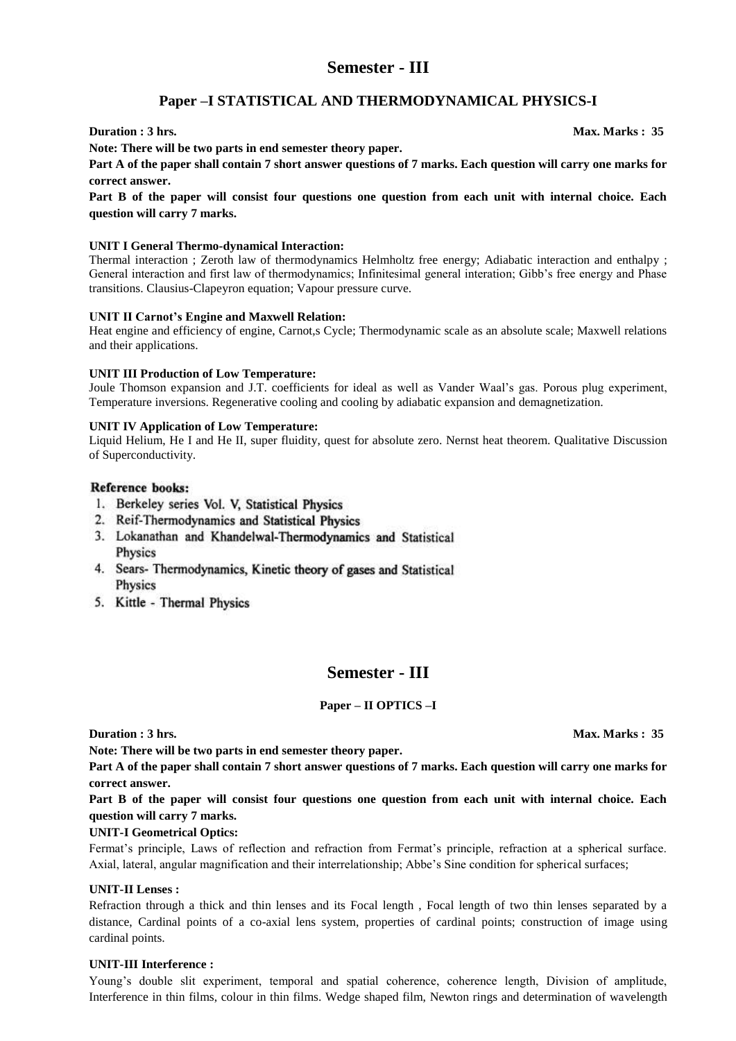### **Semester - III**

### **Paper –I STATISTICAL AND THERMODYNAMICAL PHYSICS-I**

#### **Duration : 3 hrs.** Max. Marks : 35

**Note: There will be two parts in end semester theory paper.** 

**Part A of the paper shall contain 7 short answer questions of 7 marks. Each question will carry one marks for correct answer.** 

**Part B of the paper will consist four questions one question from each unit with internal choice. Each question will carry 7 marks.** 

#### **UNIT I General Thermo-dynamical Interaction:**

Thermal interaction ; Zeroth law of thermodynamics Helmholtz free energy; Adiabatic interaction and enthalpy ; General interaction and first law of thermodynamics; Infinitesimal general interation; Gibb's free energy and Phase transitions. Clausius-Clapeyron equation; Vapour pressure curve.

#### **UNIT II Carnot's Engine and Maxwell Relation:**

Heat engine and efficiency of engine, Carnot,s Cycle; Thermodynamic scale as an absolute scale; Maxwell relations and their applications.

#### **UNIT III Production of Low Temperature:**

Joule Thomson expansion and J.T. coefficients for ideal as well as Vander Waal's gas. Porous plug experiment, Temperature inversions. Regenerative cooling and cooling by adiabatic expansion and demagnetization.

#### **UNIT IV Application of Low Temperature:**

Liquid Helium, He I and He II, super fluidity, quest for absolute zero. Nernst heat theorem. Qualitative Discussion of Superconductivity.

#### **Reference books:**

- 1. Berkeley series Vol. V, Statistical Physics
- 2. Reif-Thermodynamics and Statistical Physics
- 3. Lokanathan and Khandelwal-Thermodynamics and Statistical Physics
- 4. Sears- Thermodynamics, Kinetic theory of gases and Statistical Physics
- 5. Kittle Thermal Physics

### **Semester - III**

#### **Paper – II OPTICS –I**

**Note: There will be two parts in end semester theory paper.** 

**Part A of the paper shall contain 7 short answer questions of 7 marks. Each question will carry one marks for correct answer.** 

**Part B of the paper will consist four questions one question from each unit with internal choice. Each question will carry 7 marks.** 

#### **UNIT-I Geometrical Optics:**

Fermat's principle, Laws of reflection and refraction from Fermat's principle, refraction at a spherical surface. Axial, lateral, angular magnification and their interrelationship; Abbe's Sine condition for spherical surfaces;

#### **UNIT-II Lenses :**

Refraction through a thick and thin lenses and its Focal length , Focal length of two thin lenses separated by a distance, Cardinal points of a co-axial lens system, properties of cardinal points; construction of image using cardinal points.

#### **UNIT-III Interference :**

Young's double slit experiment, temporal and spatial coherence, coherence length, Division of amplitude, Interference in thin films, colour in thin films. Wedge shaped film, Newton rings and determination of wavelength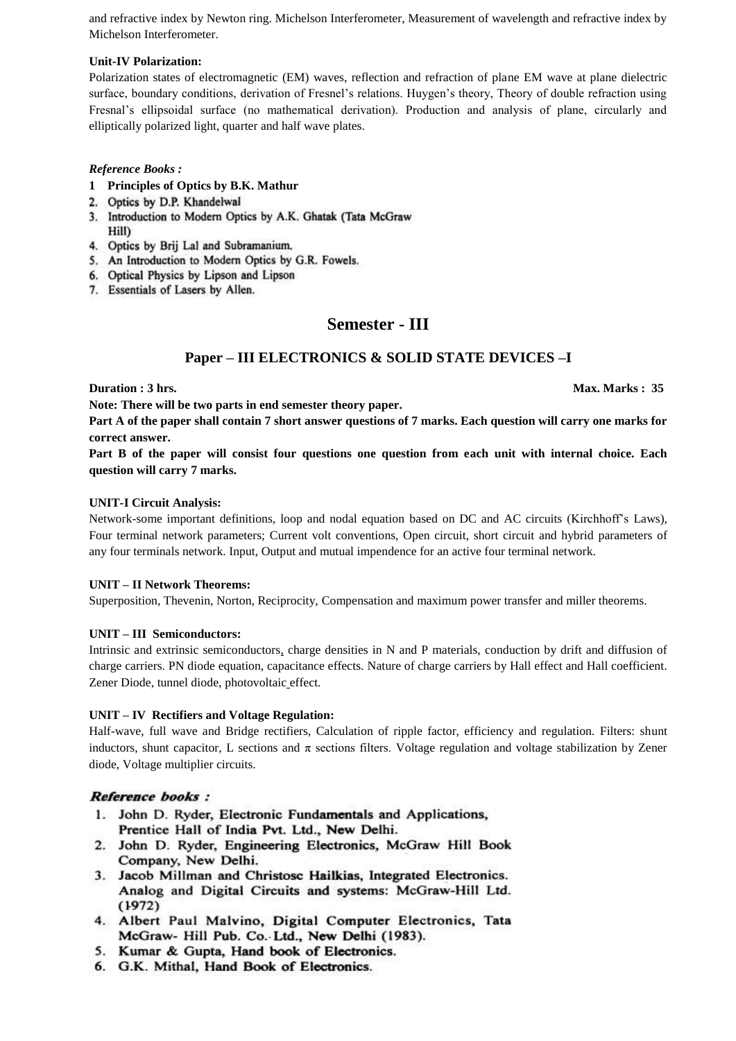and refractive index by Newton ring. Michelson Interferometer, Measurement of wavelength and refractive index by Michelson Interferometer.

#### **Unit-IV Polarization:**

Polarization states of electromagnetic (EM) waves, reflection and refraction of plane EM wave at plane dielectric surface, boundary conditions, derivation of Fresnel's relations. Huygen's theory, Theory of double refraction using Fresnal's ellipsoidal surface (no mathematical derivation). Production and analysis of plane, circularly and elliptically polarized light, quarter and half wave plates.

#### *Reference Books :*

- **1 Principles of Optics by B.K. Mathur**
- 2. Optics by D.P. Khandelwal
- 3. Introduction to Modern Optics by A.K. Ghatak (Tata McGraw Hill)
- 4. Optics by Brij Lal and Subramanium.
- 5. An Introduction to Modern Optics by G.R. Fowels.
- 6. Optical Physics by Lipson and Lipson
- 7. Essentials of Lasers by Allen.

### **Semester - III**

### **Paper – III ELECTRONICS & SOLID STATE DEVICES –I**

**Duration : 3 hrs.** Max. Marks : 35

**Note: There will be two parts in end semester theory paper.** 

**Part A of the paper shall contain 7 short answer questions of 7 marks. Each question will carry one marks for correct answer.** 

**Part B of the paper will consist four questions one question from each unit with internal choice. Each question will carry 7 marks.** 

#### **UNIT-I Circuit Analysis:**

Network-some important definitions, loop and nodal equation based on DC and AC circuits (Kirchhoff's Laws), Four terminal network parameters; Current volt conventions, Open circuit, short circuit and hybrid parameters of any four terminals network. Input, Output and mutual impendence for an active four terminal network.

#### **UNIT – II Network Theorems:**

Superposition, Thevenin, Norton, Reciprocity, Compensation and maximum power transfer and miller theorems.

#### **UNIT – III Semiconductors:**

Intrinsic and extrinsic semiconductors, charge densities in N and P materials, conduction by drift and diffusion of charge carriers. PN diode equation, capacitance effects. Nature of charge carriers by Hall effect and Hall coefficient. Zener Diode, tunnel diode, photovoltaic effect.

#### **UNIT – IV Rectifiers and Voltage Regulation:**

Half-wave, full wave and Bridge rectifiers, Calculation of ripple factor, efficiency and regulation. Filters: shunt inductors, shunt capacitor, L sections and  $\pi$  sections filters. Voltage regulation and voltage stabilization by Zener diode, Voltage multiplier circuits.

#### **Reference books:**

- 1. John D. Ryder, Electronic Fundamentals and Applications, Prentice Hall of India Pvt. Ltd., New Delhi.
- 2. John D. Ryder, Engineering Electronics, McGraw Hill Book Company, New Delhi.
- 3. Jacob Millman and Christosc Hailkias, Integrated Electronics. Analog and Digital Circuits and systems: McGraw-Hill Ltd.  $(1972)$
- 4. Albert Paul Malvino, Digital Computer Electronics, Tata McGraw- Hill Pub. Co. Ltd., New Delhi (1983).
- 5. Kumar & Gupta, Hand book of Electronics.
- 6. G.K. Mithal, Hand Book of Electronics.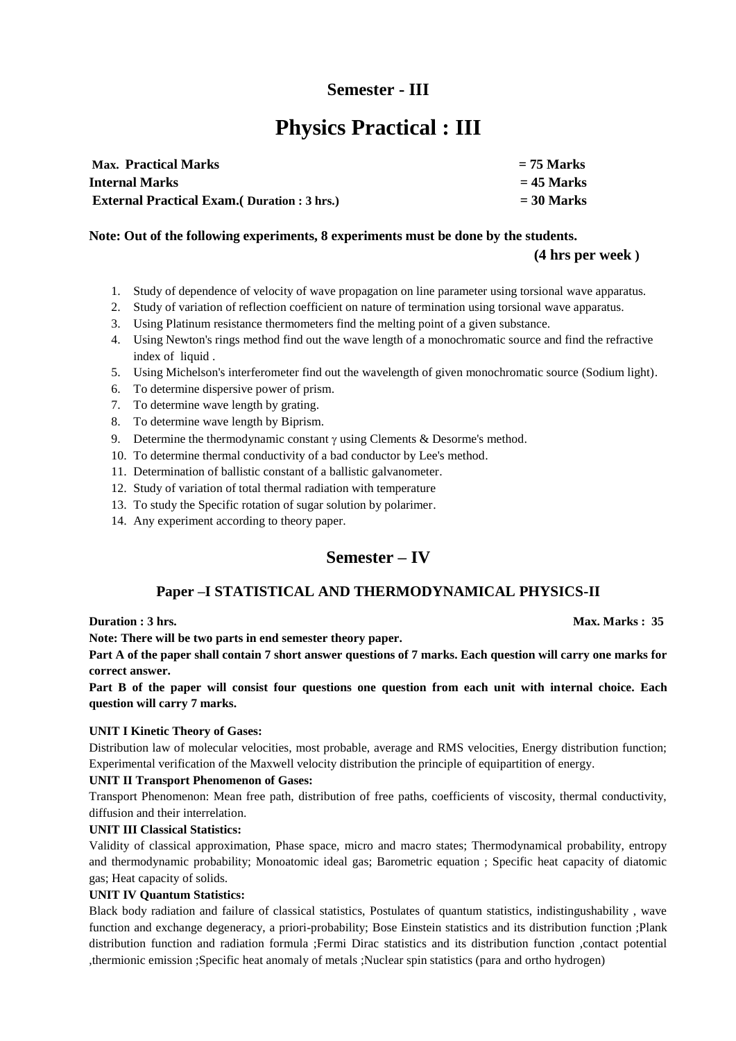## **Semester - III**

# **Physics Practical : III**

| <b>Max. Practical Marks</b>                         | $= 75$ Marks |
|-----------------------------------------------------|--------------|
| <b>Internal Marks</b>                               | $= 45$ Marks |
| <b>External Practical Exam.</b> (Duration : 3 hrs.) | $=$ 30 Marks |

#### **Note: Out of the following experiments, 8 experiments must be done by the students.**

#### **(4 hrs per week )**

- 1. Study of dependence of velocity of wave propagation on line parameter using torsional wave apparatus.
- 2. Study of variation of reflection coefficient on nature of termination using torsional wave apparatus.
- 3. Using Platinum resistance thermometers find the melting point of a given substance.
- 4. Using Newton's rings method find out the wave length of a monochromatic source and find the refractive index of liquid .
- 5. Using Michelson's interferometer find out the wavelength of given monochromatic source (Sodium light).
- 6. To determine dispersive power of prism.
- 7. To determine wave length by grating.
- 8. To determine wave length by Biprism.
- 9. Determine the thermodynamic constant  $\gamma$  using Clements & Desorme's method.
- 10. To determine thermal conductivity of a bad conductor by Lee's method.
- 11. Determination of ballistic constant of a ballistic galvanometer.
- 12. Study of variation of total thermal radiation with temperature
- 13. To study the Specific rotation of sugar solution by polarimer.
- 14. Any experiment according to theory paper.

### **Semester – IV**

### **Paper –I STATISTICAL AND THERMODYNAMICAL PHYSICS-II**

**Duration : 3 hrs.** Max. Marks : 35

**Note: There will be two parts in end semester theory paper.** 

**Part A of the paper shall contain 7 short answer questions of 7 marks. Each question will carry one marks for correct answer.** 

**Part B of the paper will consist four questions one question from each unit with internal choice. Each question will carry 7 marks.** 

#### **UNIT I Kinetic Theory of Gases:**

Distribution law of molecular velocities, most probable, average and RMS velocities, Energy distribution function; Experimental verification of the Maxwell velocity distribution the principle of equipartition of energy.

#### **UNIT II Transport Phenomenon of Gases:**

Transport Phenomenon: Mean free path, distribution of free paths, coefficients of viscosity, thermal conductivity, diffusion and their interrelation.

#### **UNIT III Classical Statistics:**

Validity of classical approximation, Phase space, micro and macro states; Thermodynamical probability, entropy and thermodynamic probability; Monoatomic ideal gas; Barometric equation ; Specific heat capacity of diatomic gas; Heat capacity of solids.

#### **UNIT IV Quantum Statistics:**

Black body radiation and failure of classical statistics, Postulates of quantum statistics, indistingushability , wave function and exchange degeneracy, a priori-probability; Bose Einstein statistics and its distribution function ;Plank distribution function and radiation formula ;Fermi Dirac statistics and its distribution function ,contact potential ,thermionic emission ;Specific heat anomaly of metals ;Nuclear spin statistics (para and ortho hydrogen)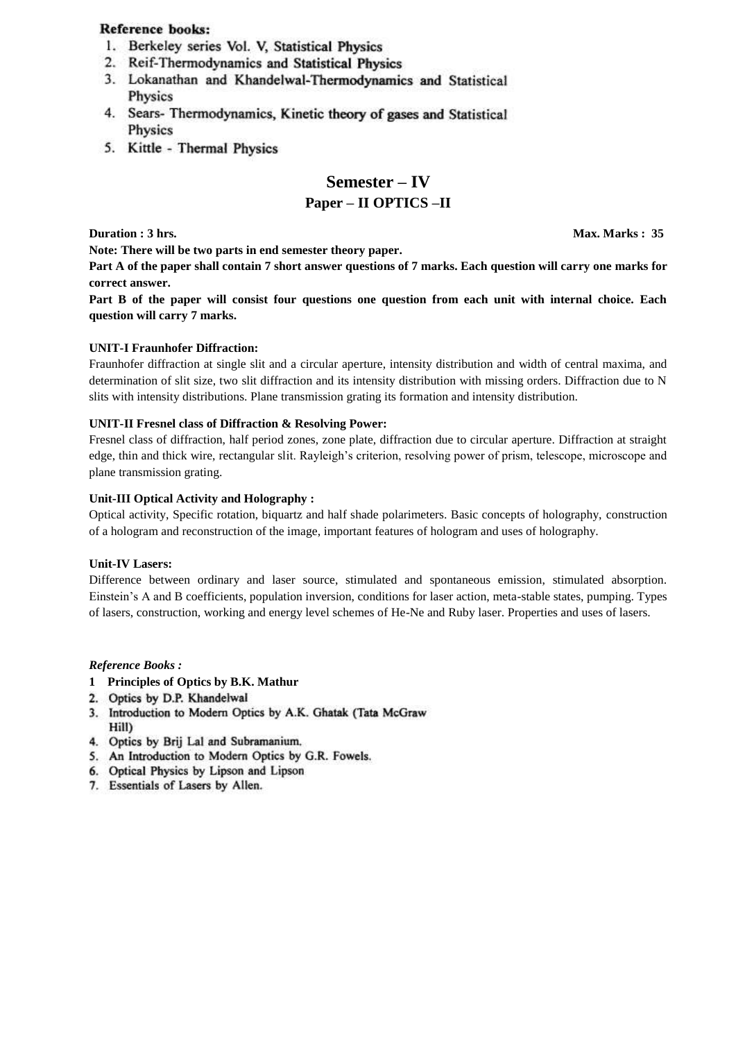#### **Reference books:**

- 1. Berkeley series Vol. V, Statistical Physics
- 2. Reif-Thermodynamics and Statistical Physics
- 3. Lokanathan and Khandelwal-Thermodynamics and Statistical Physics
- 4. Sears- Thermodynamics, Kinetic theory of gases and Statistical Physics
- 5. Kittle Thermal Physics

### **Semester – IV**

#### **Paper – II OPTICS –II**

**Duration : 3 hrs.** Max. Marks : 35

**Note: There will be two parts in end semester theory paper.** 

**Part A of the paper shall contain 7 short answer questions of 7 marks. Each question will carry one marks for correct answer.** 

**Part B of the paper will consist four questions one question from each unit with internal choice. Each question will carry 7 marks.** 

#### **UNIT-I Fraunhofer Diffraction:**

Fraunhofer diffraction at single slit and a circular aperture, intensity distribution and width of central maxima, and determination of slit size, two slit diffraction and its intensity distribution with missing orders. Diffraction due to N slits with intensity distributions. Plane transmission grating its formation and intensity distribution.

#### **UNIT-II Fresnel class of Diffraction & Resolving Power:**

Fresnel class of diffraction, half period zones, zone plate, diffraction due to circular aperture. Diffraction at straight edge, thin and thick wire, rectangular slit. Rayleigh's criterion, resolving power of prism, telescope, microscope and plane transmission grating.

#### **Unit-III Optical Activity and Holography :**

Optical activity, Specific rotation, biquartz and half shade polarimeters. Basic concepts of holography, construction of a hologram and reconstruction of the image, important features of hologram and uses of holography.

#### **Unit-IV Lasers:**

Difference between ordinary and laser source, stimulated and spontaneous emission, stimulated absorption. Einstein's A and B coefficients, population inversion, conditions for laser action, meta-stable states, pumping. Types of lasers, construction, working and energy level schemes of He-Ne and Ruby laser. Properties and uses of lasers.

#### *Reference Books :*

- **1 Principles of Optics by B.K. Mathur**
- 2. Optics by D.P. Khandelwal
- 3. Introduction to Modern Optics by A.K. Ghatak (Tata McGraw Hill)
- 4. Optics by Brij Lal and Subramanium.
- 5. An Introduction to Modern Optics by G.R. Fowels.
- 6. Optical Physics by Lipson and Lipson
- 7. Essentials of Lasers by Allen.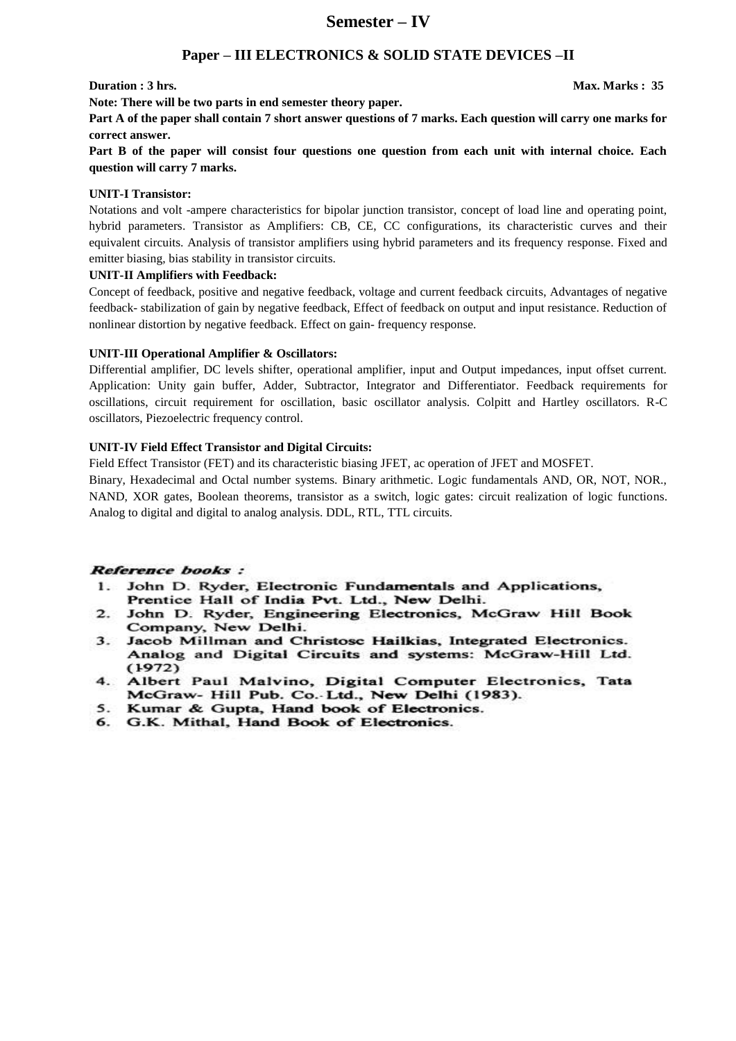### **Semester – IV**

#### **Paper – III ELECTRONICS & SOLID STATE DEVICES –II**

#### **Duration : 3 hrs.** Max. Marks : 35

**Note: There will be two parts in end semester theory paper.** 

**Part A of the paper shall contain 7 short answer questions of 7 marks. Each question will carry one marks for correct answer.** 

**Part B of the paper will consist four questions one question from each unit with internal choice. Each question will carry 7 marks.** 

#### **UNIT-I Transistor:**

Notations and volt -ampere characteristics for bipolar junction transistor, concept of load line and operating point, hybrid parameters. Transistor as Amplifiers: CB, CE, CC configurations, its characteristic curves and their equivalent circuits. Analysis of transistor amplifiers using hybrid parameters and its frequency response. Fixed and emitter biasing, bias stability in transistor circuits.

#### **UNIT-II Amplifiers with Feedback:**

Concept of feedback, positive and negative feedback, voltage and current feedback circuits, Advantages of negative feedback- stabilization of gain by negative feedback, Effect of feedback on output and input resistance. Reduction of nonlinear distortion by negative feedback. Effect on gain- frequency response.

#### **UNIT-III Operational Amplifier & Oscillators:**

Differential amplifier, DC levels shifter, operational amplifier, input and Output impedances, input offset current. Application: Unity gain buffer, Adder, Subtractor, Integrator and Differentiator. Feedback requirements for oscillations, circuit requirement for oscillation, basic oscillator analysis. Colpitt and Hartley oscillators. R-C oscillators, Piezoelectric frequency control.

#### **UNIT-IV Field Effect Transistor and Digital Circuits:**

Field Effect Transistor (FET) and its characteristic biasing JFET, ac operation of JFET and MOSFET.

Binary, Hexadecimal and Octal number systems. Binary arithmetic. Logic fundamentals AND, OR, NOT, NOR., NAND, XOR gates, Boolean theorems, transistor as a switch, logic gates: circuit realization of logic functions. Analog to digital and digital to analog analysis. DDL, RTL, TTL circuits.

#### **Reference books:**

- 1. John D. Ryder, Electronic Fundamentals and Applications, Prentice Hall of India Pvt. Ltd., New Delhi.
- 2. John D. Ryder, Engineering Electronics, McGraw Hill Book Company, New Delhi.
- 3. Jacob Millman and Christosc Hailkias, Integrated Electronics. Analog and Digital Circuits and systems: McGraw-Hill Ltd.  $(1972)$
- 4. Albert Paul Malvino, Digital Computer Electronics, Tata McGraw- Hill Pub. Co. Ltd., New Delhi (1983).
- 5. Kumar & Gupta, Hand book of Electronics.
- 6. G.K. Mithal, Hand Book of Electronics.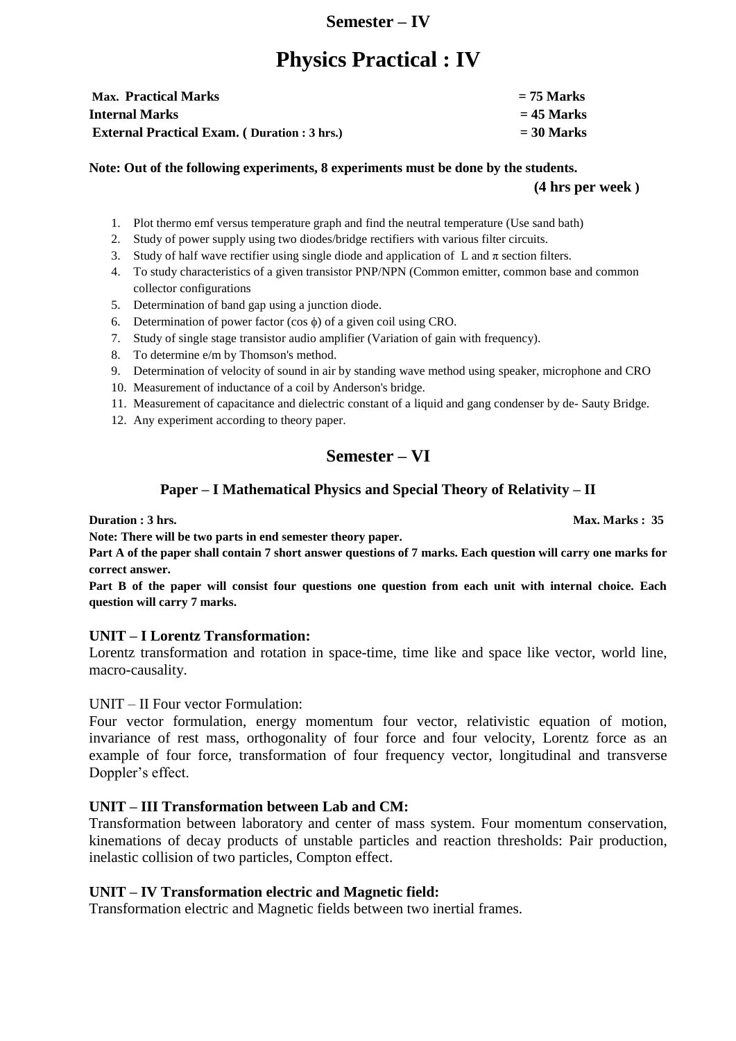### **Semester – IV**

# **Physics Practical : IV**

| <b>Max. Practical Marks</b>                         | $= 75$ Marks |
|-----------------------------------------------------|--------------|
| <b>Internal Marks</b>                               | $= 45$ Marks |
| <b>External Practical Exam.</b> (Duration : 3 hrs.) | $=$ 30 Marks |

**Note: Out of the following experiments, 8 experiments must be done by the students. (4 hrs per week )**

- 1. Plot thermo emf versus temperature graph and find the neutral temperature (Use sand bath)
- 2. Study of power supply using two diodes/bridge rectifiers with various filter circuits.
- 3. Study of half wave rectifier using single diode and application of L and  $\pi$  section filters.
- 4. To study characteristics of a given transistor PNP/NPN (Common emitter, common base and common collector configurations
- 5. Determination of band gap using a junction diode.
- 6. Determination of power factor (cos  $\phi$ ) of a given coil using CRO.
- 7. Study of single stage transistor audio amplifier (Variation of gain with frequency).
- 8. To determine e/m by Thomson's method.
- 9. Determination of velocity of sound in air by standing wave method using speaker, microphone and CRO
- 10. Measurement of inductance of a coil by Anderson's bridge.
- 11. Measurement of capacitance and dielectric constant of a liquid and gang condenser by de- Sauty Bridge.
- 12. Any experiment according to theory paper.

## **Semester – VI**

### **Paper – I Mathematical Physics and Special Theory of Relativity – II**

**Duration : 3 hrs.** Max. Marks : 35

**Note: There will be two parts in end semester theory paper.** 

**Part A of the paper shall contain 7 short answer questions of 7 marks. Each question will carry one marks for correct answer.** 

**Part B of the paper will consist four questions one question from each unit with internal choice. Each question will carry 7 marks.** 

#### **UNIT – I Lorentz Transformation:**

Lorentz transformation and rotation in space-time, time like and space like vector, world line, macro-causality.

#### UNIT – II Four vector Formulation:

Four vector formulation, energy momentum four vector, relativistic equation of motion, invariance of rest mass, orthogonality of four force and four velocity, Lorentz force as an example of four force, transformation of four frequency vector, longitudinal and transverse Doppler's effect.

### **UNIT – III Transformation between Lab and CM:**

Transformation between laboratory and center of mass system. Four momentum conservation, kinemations of decay products of unstable particles and reaction thresholds: Pair production, inelastic collision of two particles, Compton effect.

### **UNIT – IV Transformation electric and Magnetic field:**

Transformation electric and Magnetic fields between two inertial frames.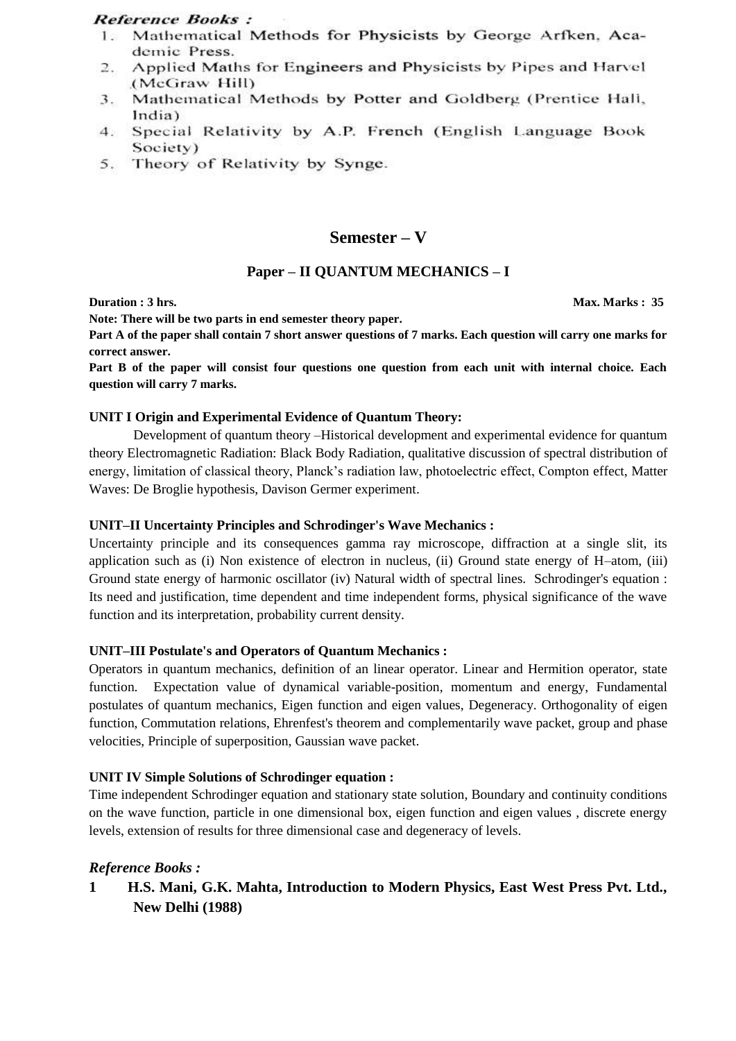### **Reference Books:**

- Mathematical Methods for Physicists by George Arfken, Aca- $1<sup>1</sup>$ demic Press.
- Applied Maths for Engineers and Physicists by Pipes and Harvel 2. (McGraw Hill)
- Mathematical Methods by Potter and Goldberg (Prentice Hall,  $3.$ India)
- 4. Special Relativity by A.P. French (English Language Book Society)
- 5. Theory of Relativity by Synge.

### **Semester – V**

### **Paper – II QUANTUM MECHANICS – I**

**Note: There will be two parts in end semester theory paper.** 

**Part A of the paper shall contain 7 short answer questions of 7 marks. Each question will carry one marks for correct answer.** 

**Part B of the paper will consist four questions one question from each unit with internal choice. Each question will carry 7 marks.** 

#### **UNIT I Origin and Experimental Evidence of Quantum Theory:**

Development of quantum theory –Historical development and experimental evidence for quantum theory Electromagnetic Radiation: Black Body Radiation, qualitative discussion of spectral distribution of energy, limitation of classical theory, Planck's radiation law, photoelectric effect, Compton effect, Matter Waves: De Broglie hypothesis, Davison Germer experiment.

#### **UNIT–II Uncertainty Principles and Schrodinger's Wave Mechanics :**

Uncertainty principle and its consequences gamma ray microscope, diffraction at a single slit, its application such as (i) Non existence of electron in nucleus, (ii) Ground state energy of H–atom, (iii) Ground state energy of harmonic oscillator (iv) Natural width of spectral lines. Schrodinger's equation : Its need and justification, time dependent and time independent forms, physical significance of the wave function and its interpretation, probability current density.

#### **UNIT–III Postulate's and Operators of Quantum Mechanics :**

Operators in quantum mechanics, definition of an linear operator. Linear and Hermition operator, state function. Expectation value of dynamical variable-position, momentum and energy, Fundamental postulates of quantum mechanics, Eigen function and eigen values, Degeneracy. Orthogonality of eigen function, Commutation relations, Ehrenfest's theorem and complementarily wave packet, group and phase velocities, Principle of superposition, Gaussian wave packet.

#### **UNIT IV Simple Solutions of Schrodinger equation :**

Time independent Schrodinger equation and stationary state solution, Boundary and continuity conditions on the wave function, particle in one dimensional box, eigen function and eigen values , discrete energy levels, extension of results for three dimensional case and degeneracy of levels.

#### *Reference Books :*

**1 H.S. Mani, G.K. Mahta, Introduction to Modern Physics, East West Press Pvt. Ltd., New Delhi (1988)**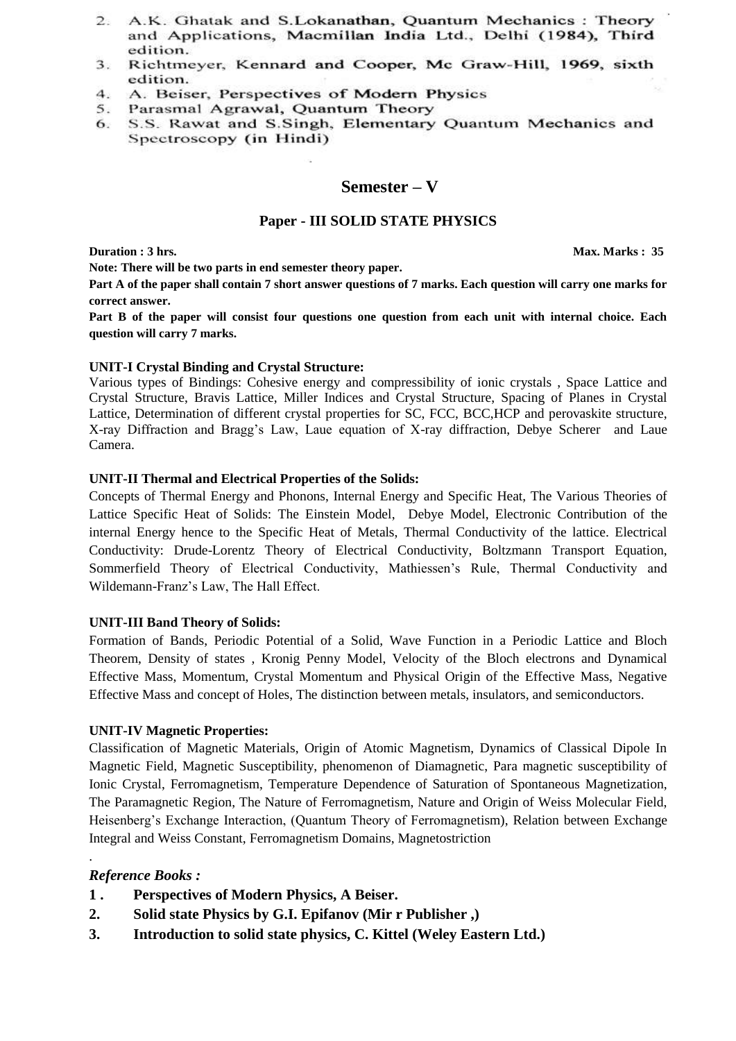- 2. A.K. Ghatak and S.Lokanathan, Quantum Mechanics: Theory and Applications, Macmillan India Ltd., Delhi (1984), Third edition.
- $3.$ Richtmeyer, Kennard and Cooper, Mc Graw-Hill, 1969, sixth edition.
- $4.$ A. Beiser, Perspectives of Modern Physics
- Parasmal Agrawal, Quantum Theory 5.
- S.S. Rawat and S.Singh, Elementary Quantum Mechanics and 6. Spectroscopy (in Hindi)

### **Semester – V**

#### **Paper - III SOLID STATE PHYSICS**

**Note: There will be two parts in end semester theory paper.** 

**Part A of the paper shall contain 7 short answer questions of 7 marks. Each question will carry one marks for correct answer.** 

**Part B of the paper will consist four questions one question from each unit with internal choice. Each question will carry 7 marks.** 

#### **UNIT-I Crystal Binding and Crystal Structure:**

Various types of Bindings: Cohesive energy and compressibility of ionic crystals , Space Lattice and Crystal Structure, Bravis Lattice, Miller Indices and Crystal Structure, Spacing of Planes in Crystal Lattice, Determination of different crystal properties for SC, FCC, BCC,HCP and perovaskite structure, X-ray Diffraction and Bragg's Law, Laue equation of X-ray diffraction, Debye Scherer and Laue Camera.

#### **UNIT-II Thermal and Electrical Properties of the Solids:**

Concepts of Thermal Energy and Phonons, Internal Energy and Specific Heat, The Various Theories of Lattice Specific Heat of Solids: The Einstein Model, Debye Model, Electronic Contribution of the internal Energy hence to the Specific Heat of Metals, Thermal Conductivity of the lattice. Electrical Conductivity: Drude-Lorentz Theory of Electrical Conductivity, Boltzmann Transport Equation, Sommerfield Theory of Electrical Conductivity, Mathiessen's Rule, Thermal Conductivity and Wildemann-Franz's Law, The Hall Effect.

#### **UNIT-III Band Theory of Solids:**

Formation of Bands, Periodic Potential of a Solid, Wave Function in a Periodic Lattice and Bloch Theorem, Density of states , Kronig Penny Model, Velocity of the Bloch electrons and Dynamical Effective Mass, Momentum, Crystal Momentum and Physical Origin of the Effective Mass, Negative Effective Mass and concept of Holes, The distinction between metals, insulators, and semiconductors.

#### **UNIT-IV Magnetic Properties:**

Classification of Magnetic Materials, Origin of Atomic Magnetism, Dynamics of Classical Dipole In Magnetic Field, Magnetic Susceptibility, phenomenon of Diamagnetic, Para magnetic susceptibility of Ionic Crystal, Ferromagnetism, Temperature Dependence of Saturation of Spontaneous Magnetization, The Paramagnetic Region, The Nature of Ferromagnetism, Nature and Origin of Weiss Molecular Field, Heisenberg's Exchange Interaction, (Quantum Theory of Ferromagnetism), Relation between Exchange Integral and Weiss Constant, Ferromagnetism Domains, Magnetostriction

#### *Reference Books :*

.

- **1 . Perspectives of Modern Physics, A Beiser.**
- **2. Solid state Physics by G.I. Epifanov (Mir r Publisher ,)**
- **3. Introduction to solid state physics, C. Kittel (Weley Eastern Ltd.)**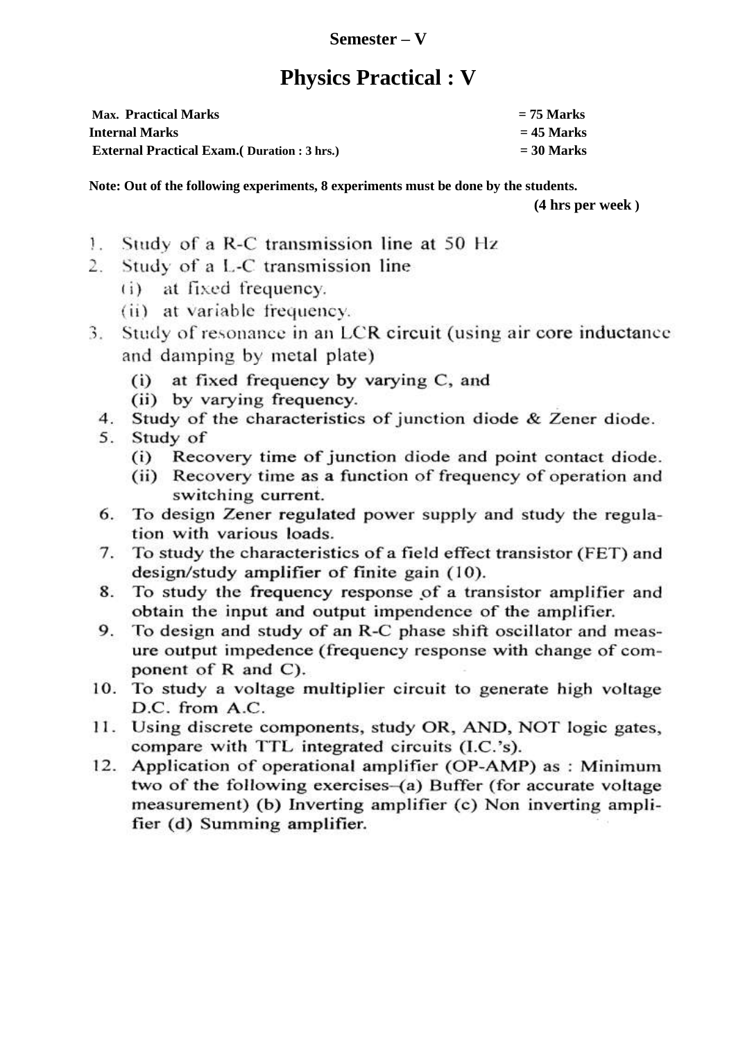## **Semester – V**

# **Physics Practical : V**

| <b>Max. Practical Marks</b>                         | $= 75$ Marks |
|-----------------------------------------------------|--------------|
| <b>Internal Marks</b>                               | $= 45$ Marks |
| <b>External Practical Exam.</b> (Duration : 3 hrs.) | $=$ 30 Marks |

**Note: Out of the following experiments, 8 experiments must be done by the students.** 

**(4 hrs per week )**

- Study of a R-C transmission line at 50 Hz  $\mathcal{L}$
- Study of a L-C transmission line  $2^{\circ}$ 
	- (i) at fixed frequency.
	- (ii) at variable frequency.
- Study of resonance in an LCR circuit (using air core inductance  $3.$ and damping by metal plate)
	- at fixed frequency by varying C, and  $(i)$
	- (ii) by varying frequency.
	- 4. Study of the characteristics of junction diode & Zener diode.
	- 5. Study of
		- (i) Recovery time of junction diode and point contact diode.
		- (ii) Recovery time as a function of frequency of operation and switching current.
	- 6. To design Zener regulated power supply and study the regulation with various loads.
	- 7. To study the characteristics of a field effect transistor (FET) and design/study amplifier of finite gain (10).
	- 8. To study the frequency response of a transistor amplifier and obtain the input and output impendence of the amplifier.
	- To design and study of an R-C phase shift oscillator and meas-9. ure output impedence (frequency response with change of component of R and C).
- 10. To study a voltage multiplier circuit to generate high voltage D.C. from A.C.
- 11. Using discrete components, study OR, AND, NOT logic gates, compare with TTL integrated circuits (I.C.'s).
- 12. Application of operational amplifier (OP-AMP) as: Minimum two of the following exercises-(a) Buffer (for accurate voltage measurement) (b) Inverting amplifier (c) Non inverting amplifier (d) Summing amplifier.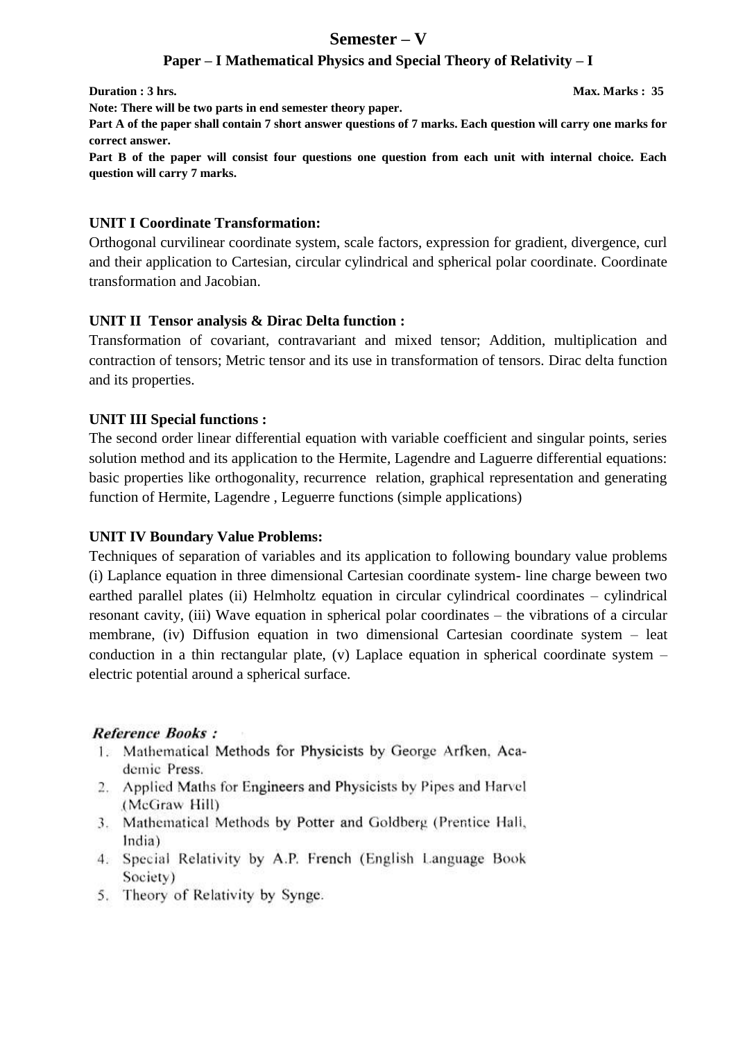## **Semester – V**

### **Paper – I Mathematical Physics and Special Theory of Relativity – I**

**Duration : 3 hrs.** Max. Marks : 35

**Note: There will be two parts in end semester theory paper.** 

**Part A of the paper shall contain 7 short answer questions of 7 marks. Each question will carry one marks for correct answer.** 

**Part B of the paper will consist four questions one question from each unit with internal choice. Each question will carry 7 marks.** 

### **UNIT I Coordinate Transformation:**

Orthogonal curvilinear coordinate system, scale factors, expression for gradient, divergence, curl and their application to Cartesian, circular cylindrical and spherical polar coordinate. Coordinate transformation and Jacobian.

### **UNIT II Tensor analysis & Dirac Delta function :**

Transformation of covariant, contravariant and mixed tensor; Addition, multiplication and contraction of tensors; Metric tensor and its use in transformation of tensors. Dirac delta function and its properties.

### **UNIT III Special functions :**

The second order linear differential equation with variable coefficient and singular points, series solution method and its application to the Hermite, Lagendre and Laguerre differential equations: basic properties like orthogonality, recurrence relation, graphical representation and generating function of Hermite, Lagendre , Leguerre functions (simple applications)

### **UNIT IV Boundary Value Problems:**

Techniques of separation of variables and its application to following boundary value problems (i) Laplance equation in three dimensional Cartesian coordinate system- line charge beween two earthed parallel plates (ii) Helmholtz equation in circular cylindrical coordinates – cylindrical resonant cavity, (iii) Wave equation in spherical polar coordinates – the vibrations of a circular membrane, (iv) Diffusion equation in two dimensional Cartesian coordinate system – leat conduction in a thin rectangular plate, (v) Laplace equation in spherical coordinate system – electric potential around a spherical surface.

### **Reference Books:**

- 1. Mathematical Methods for Physicists by George Arfken, Academic Press.
- 2. Applied Maths for Engineers and Physicists by Pipes and Harvel (McGraw Hill)
- 3. Mathematical Methods by Potter and Goldberg (Prentice Hali, India)
- 4. Special Relativity by A.P. French (English Language Book Society)
- 5. Theory of Relativity by Synge.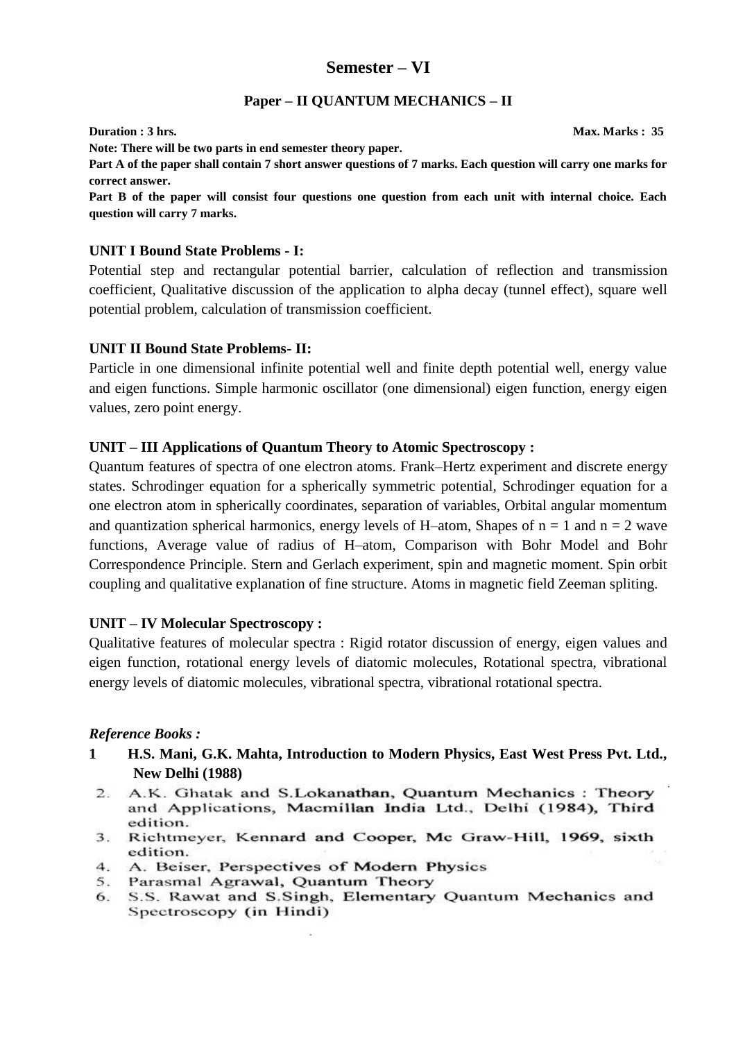### **Semester – VI**

### **Paper – II QUANTUM MECHANICS – II**

**Duration : 3 hrs.** Max. Marks : 35 **Note: There will be two parts in end semester theory paper. Part A of the paper shall contain 7 short answer questions of 7 marks. Each question will carry one marks for correct answer.** 

**Part B of the paper will consist four questions one question from each unit with internal choice. Each question will carry 7 marks.** 

### **UNIT I Bound State Problems - I:**

Potential step and rectangular potential barrier, calculation of reflection and transmission coefficient, Qualitative discussion of the application to alpha decay (tunnel effect), square well potential problem, calculation of transmission coefficient.

### **UNIT II Bound State Problems- II:**

Particle in one dimensional infinite potential well and finite depth potential well, energy value and eigen functions. Simple harmonic oscillator (one dimensional) eigen function, energy eigen values, zero point energy.

#### **UNIT – III Applications of Quantum Theory to Atomic Spectroscopy :**

Quantum features of spectra of one electron atoms. Frank–Hertz experiment and discrete energy states. Schrodinger equation for a spherically symmetric potential, Schrodinger equation for a one electron atom in spherically coordinates, separation of variables, Orbital angular momentum and quantization spherical harmonics, energy levels of H–atom, Shapes of  $n = 1$  and  $n = 2$  wave functions, Average value of radius of H–atom, Comparison with Bohr Model and Bohr Correspondence Principle. Stern and Gerlach experiment, spin and magnetic moment. Spin orbit coupling and qualitative explanation of fine structure. Atoms in magnetic field Zeeman spliting.

#### **UNIT – IV Molecular Spectroscopy :**

Qualitative features of molecular spectra : Rigid rotator discussion of energy, eigen values and eigen function, rotational energy levels of diatomic molecules, Rotational spectra, vibrational energy levels of diatomic molecules, vibrational spectra, vibrational rotational spectra.

#### *Reference Books :*

- **1 H.S. Mani, G.K. Mahta, Introduction to Modern Physics, East West Press Pvt. Ltd., New Delhi (1988)**
	- A.K. Ghatak and S.Lokanathan, Ouantum Mechanics: Theory  $2^{\circ}$ and Applications, Macmillan India Ltd., Delhi (1984), Third edition.
	- 3. Richtmeyer, Kennard and Cooper, Mc Graw-Hill, 1969, sixth edition.
	- 4. A. Beiser, Perspectives of Modern Physics
	- 5. Parasmal Agrawal, Quantum Theory
	- 6. S.S. Rawat and S.Singh, Elementary Quantum Mechanics and Spectroscopy (in Hindi)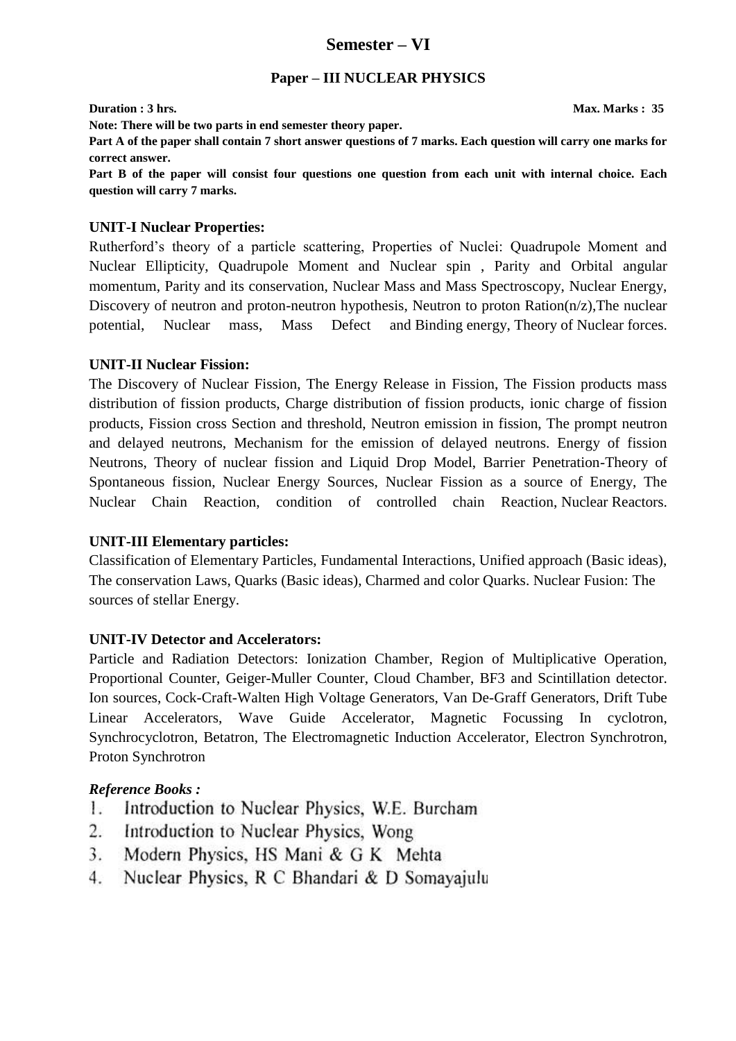### **Semester – VI**

### **Paper – III NUCLEAR PHYSICS**

**Note: There will be two parts in end semester theory paper.** 

**Duration : 3 hrs.** Max. Marks : 35

**Part A of the paper shall contain 7 short answer questions of 7 marks. Each question will carry one marks for correct answer.** 

**Part B of the paper will consist four questions one question from each unit with internal choice. Each question will carry 7 marks.** 

### **UNIT-I Nuclear Properties:**

Rutherford's theory of a particle scattering, Properties of Nuclei: Quadrupole Moment and Nuclear Ellipticity, Quadrupole Moment and Nuclear spin , Parity and Orbital angular momentum, Parity and its conservation, Nuclear Mass and Mass Spectroscopy, Nuclear Energy, Discovery of neutron and proton-neutron hypothesis, Neutron to proton Ration $(n/z)$ , The nuclear potential, Nuclear mass, Mass Defect and Binding energy, Theory of Nuclear forces.

### **UNIT-II Nuclear Fission:**

The Discovery of Nuclear Fission, The Energy Release in Fission, The Fission products mass distribution of fission products, Charge distribution of fission products, ionic charge of fission products, Fission cross Section and threshold, Neutron emission in fission, The prompt neutron and delayed neutrons, Mechanism for the emission of delayed neutrons. Energy of fission Neutrons, Theory of nuclear fission and Liquid Drop Model, Barrier Penetration-Theory of Spontaneous fission, Nuclear Energy Sources, Nuclear Fission as a source of Energy, The Nuclear Chain Reaction, condition of controlled chain Reaction, Nuclear Reactors.

### **UNIT-III Elementary particles:**

Classification of Elementary Particles, Fundamental Interactions, Unified approach (Basic ideas), The conservation Laws, Quarks (Basic ideas), Charmed and color Quarks. Nuclear Fusion: The sources of stellar Energy.

### **UNIT-IV Detector and Accelerators:**

Particle and Radiation Detectors: Ionization Chamber, Region of Multiplicative Operation, Proportional Counter, Geiger-Muller Counter, Cloud Chamber, BF3 and Scintillation detector. Ion sources, Cock-Craft-Walten High Voltage Generators, Van De-Graff Generators, Drift Tube Linear Accelerators, Wave Guide Accelerator, Magnetic Focussing In cyclotron, Synchrocyclotron, Betatron, The Electromagnetic Induction Accelerator, Electron Synchrotron, Proton Synchrotron

### *Reference Books :*

- Introduction to Nuclear Physics, W.E. Burcham 1.
- Introduction to Nuclear Physics, Wong  $\overline{2}$ .
- Modern Physics, HS Mani & G K Mehta 3.
- Nuclear Physics, R C Bhandari & D Somayajulu  $4.$